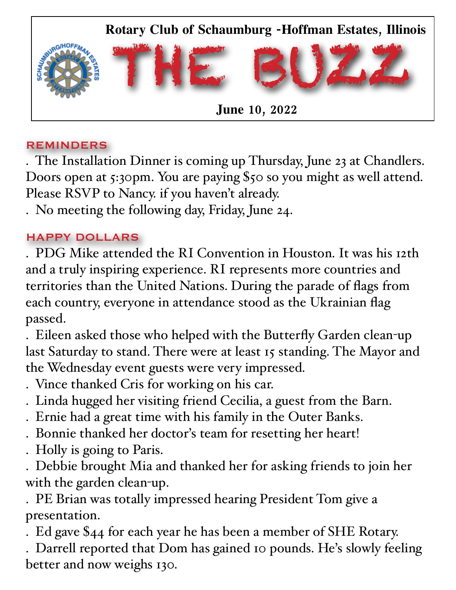

#### REMINDERS

. The Installation Dinner is coming up Thursday, June 23 at Chandlers. Doors open at 5:30pm. You are paying \$50 so you might as well attend. Please RSVP to Nancy. if you haven't already.

. No meeting the following day, Friday, June 24.

### HAPPY DOLLARS

. PDG Mike attended the RI Convention in Houston. It was his 12th and a truly inspiring experience. RI represents more countries and territories than the United Nations. During the parade of flags from each country, everyone in attendance stood as the Ukrainian flag passed.

. Eileen asked those who helped with the Butterfly Garden clean-up last Saturday to stand. There were at least 15 standing. The Mayor and the Wednesday event guests were very impressed.

- . Vince thanked Cris for working on his car.
- . Linda hugged her visiting friend Cecilia, a guest from the Barn.
- . Ernie had a great time with his family in the Outer Banks.
- . Bonnie thanked her doctor's team for resetting her heart!
- . Holly is going to Paris.

. Debbie brought Mia and thanked her for asking friends to join her with the garden clean-up.

. PE Brian was totally impressed hearing President Tom give a presentation.

. Ed gave \$44 for each year he has been a member of SHE Rotary.

. Darrell reported that Dom has gained 10 pounds. He's slowly feeling better and now weighs 130.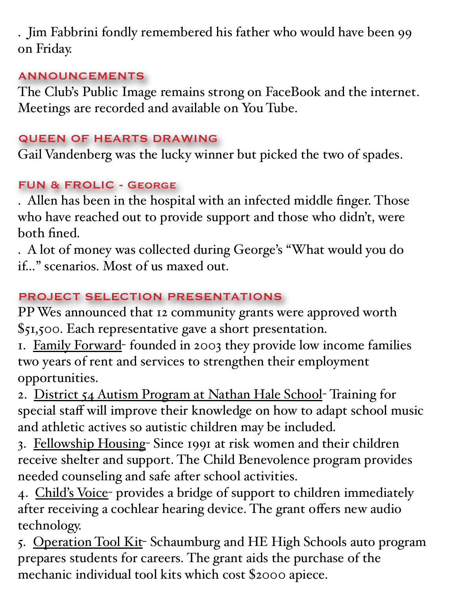. Jim Fabbrini fondly remembered his father who would have been 99 on Friday.

### ANNOUNCEMENTS

The Club's Public Image remains strong on FaceBook and the internet. Meetings are recorded and available on You Tube.

## QUEEN OF HEARTS DRAWING

Gail Vandenberg was the lucky winner but picked the two of spades.

# FUN & FROLIC - George

. Allen has been in the hospital with an infected middle finger. Those who have reached out to provide support and those who didn't, were both fined.

. A lot of money was collected during George's "What would you do if…" scenarios. Most of us maxed out.

# PROJECT SELECTION PRESENTATIONS

PP Wes announced that 12 community grants were approved worth \$51,500. Each representative gave a short presentation.

1. Family Forward- founded in 2003 they provide low income families two years of rent and services to strengthen their employment opportunities.

2. District 54 Autism Program at Nathan Hale School- Training for special staff will improve their knowledge on how to adapt school music and athletic actives so autistic children may be included.

3. Fellowship Housing- Since 1991 at risk women and their children receive shelter and support. The Child Benevolence program provides needed counseling and safe after school activities.

4. Child's Voice- provides a bridge of support to children immediately after receiving a cochlear hearing device. The grant offers new audio technology.

5. Operation Tool Kit- Schaumburg and HE High Schools auto program prepares students for careers. The grant aids the purchase of the mechanic individual tool kits which cost \$2000 apiece.